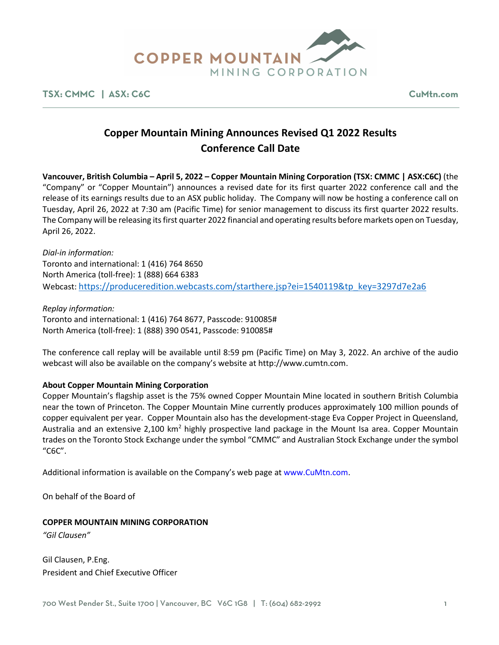

**TSX: CMMC | ASX: C6C CuMtn.com**

# **Copper Mountain Mining Announces Revised Q1 2022 Results Conference Call Date**

**Vancouver, British Columbia – April 5, 2022 – Copper Mountain Mining Corporation (TSX: CMMC | ASX:C6C)** (the "Company" or "Copper Mountain") announces a revised date for its first quarter 2022 conference call and the release of its earnings results due to an ASX public holiday. The Company will now be hosting a conference call on Tuesday, April 26, 2022 at 7:30 am (Pacific Time) for senior management to discuss its first quarter 2022 results. The Company will be releasing its first quarter 2022 financial and operating results before markets open on Tuesday, April 26, 2022.

*Dial-in information:* Toronto and international: 1 (416) 764 8650 North America (toll-free): 1 (888) 664 6383 Webcast[: https://produceredition.webcasts.com/starthere.jsp?ei=1540119&tp\\_key=3297d7e2a6](https://produceredition.webcasts.com/starthere.jsp?ei=1540119&tp_key=3297d7e2a6)

*Replay information:* Toronto and international: 1 (416) 764 8677, Passcode: 910085# North America (toll-free): 1 (888) 390 0541, Passcode: 910085#

The conference call replay will be available until 8:59 pm (Pacific Time) on May 3, 2022. An archive of the audio webcast will also be available on the company's website at http://www.cumtn.com.

### **About Copper Mountain Mining Corporation**

Copper Mountain's flagship asset is the 75% owned Copper Mountain Mine located in southern British Columbia near the town of Princeton. The Copper Mountain Mine currently produces approximately 100 million pounds of copper equivalent per year. Copper Mountain also has the development-stage Eva Copper Project in Queensland, Australia and an extensive 2,100 km<sup>2</sup> highly prospective land package in the Mount Isa area. Copper Mountain trades on the Toronto Stock Exchange under the symbol "CMMC" and Australian Stock Exchange under the symbol "C6C".

Additional information is available on the Company's web page at www.CuMtn.com.

On behalf of the Board of

### **COPPER MOUNTAIN MINING CORPORATION**

*"Gil Clausen"*

Gil Clausen, P.Eng. President and Chief Executive Officer